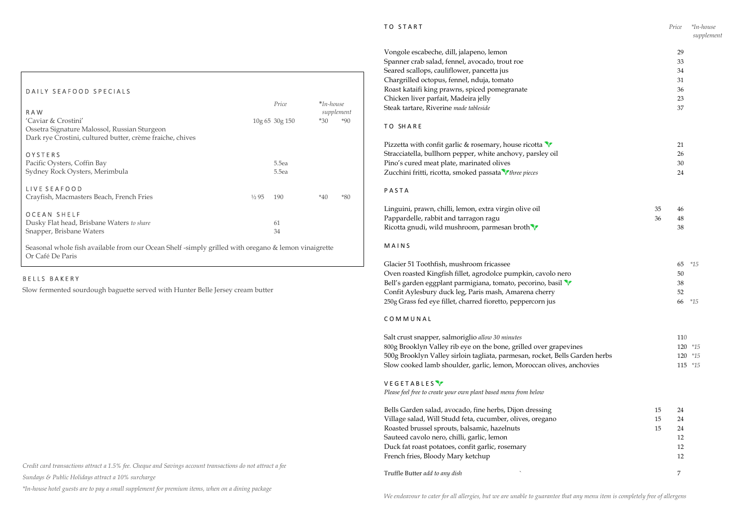Slow fermented sourdough baguette served with Hunter Belle Jersey cream butter

Credit card transactions attract a 1.5% fee. Cheque and Savings account transactions do not attract a fee

Sundays & Public Holidays attract a 10% surcharge

\*In-house hotel guests are to pay a small supplement for premium items, when on a dining package

# TO SHARE

**PASTA** 

| TO START                                                                    |    | Price | *In-house<br>supplement |
|-----------------------------------------------------------------------------|----|-------|-------------------------|
| Vongole escabeche, dill, jalapeno, lemon                                    |    | 29    |                         |
| Spanner crab salad, fennel, avocado, trout roe                              |    | 33    |                         |
| Seared scallops, cauliflower, pancetta jus                                  |    | 34    |                         |
| Chargrilled octopus, fennel, nduja, tomato                                  |    | 31    |                         |
| Roast kataifi king prawns, spiced pomegranate                               |    | 36    |                         |
| Chicken liver parfait, Madeira jelly                                        |    | 23    |                         |
| Steak tartare, Riverine made tableside                                      |    | 37    |                         |
| TO SHARE                                                                    |    |       |                         |
| Pizzetta with confit garlic & rosemary, house ricotta $\mathbf{\hat{V}}$    |    | 21    |                         |
| Stracciatella, bullhorn pepper, white anchovy, parsley oil                  |    | 26    |                         |
| Pino's cured meat plate, marinated olives                                   |    | 30    |                         |
| Zucchini fritti, ricotta, smoked passata <i>three pieces</i>                |    | 24    |                         |
| PASTA                                                                       |    |       |                         |
| Linguini, prawn, chilli, lemon, extra virgin olive oil                      | 35 | 46    |                         |
| Pappardelle, rabbit and tarragon ragu                                       | 36 | 48    |                         |
| Ricotta gnudi, wild mushroom, parmesan broth V                              |    | 38    |                         |
| MAINS                                                                       |    |       |                         |
| Glacier 51 Toothfish, mushroom fricassee                                    |    | 65    | $*15$                   |
| Oven roasted Kingfish fillet, agrodolce pumpkin, cavolo nero                |    | 50    |                         |
| Bell's garden eggplant parmigiana, tomato, pecorino, basil V                |    | 38    |                         |
| Confit Aylesbury duck leg, Paris mash, Amarena cherry                       |    | 52    |                         |
| 250g Grass fed eye fillet, charred fioretto, peppercorn jus                 |    |       | 66 *15                  |
| COMMUNAL                                                                    |    |       |                         |
| Salt crust snapper, salmoriglio allow 30 minutes                            |    | 110   |                         |
| 800g Brooklyn Valley rib eye on the bone, grilled over grapevines           |    | 120   | $*15$                   |
| 500g Brooklyn Valley sirloin tagliata, parmesan, rocket, Bells Garden herbs |    | 120   | $*15$                   |
| Slow cooked lamb shoulder, garlic, lemon, Moroccan olives, anchovies        |    | 115   | $*15$                   |
| <b>VEGETABLES</b>                                                           |    |       |                         |
| Please feel free to create your own plant based menu from below             |    |       |                         |
| Bells Garden salad, avocado, fine herbs, Dijon dressing                     | 15 | 24    |                         |
| Village salad, Will Studd feta, cucumber, olives, oregano                   | 15 | 24    |                         |
| Roasted brussel sprouts, balsamic, hazelnuts                                | 15 | 24    |                         |
| Sauteed cavolo nero, chilli, garlic, lemon                                  |    | 12    |                         |
| Duck fat roast potatoes, confit garlic, rosemary                            |    | 12    |                         |
| French fries, Bloody Mary ketchup                                           |    | 12    |                         |
| Truffle Butter add to any dish                                              |    | 7     |                         |
|                                                                             |    |       |                         |

# M A I N S

 Seasonal whole fish available from our Ocean Shelf -simply grilled with oregano & lemon vinaigrette Or Café De Paris

# C O M M U N A L

# B E L L S B A K E R Y

I

# V E G E T A B L E S Y

# DAILY SEAFOOD SPECIALS

| R A W                                                                                             |                  | Price          | $* In-house$<br>supplement |  |       |
|---------------------------------------------------------------------------------------------------|------------------|----------------|----------------------------|--|-------|
| 'Caviar & Crostini'                                                                               |                  | 10g 65 30g 150 | $*30$                      |  | $*90$ |
| Ossetra Signature Malossol, Russian Sturgeon                                                      |                  |                |                            |  |       |
| Dark rye Crostini, cultured butter, crème fraiche, chives                                         |                  |                |                            |  |       |
| OYSTERS                                                                                           |                  |                |                            |  |       |
| Pacific Oysters, Coffin Bay                                                                       |                  | 5.5ea          |                            |  |       |
| Sydney Rock Oysters, Merimbula                                                                    |                  | 5.5ea          |                            |  |       |
| LIVE SEAFOOD                                                                                      |                  |                |                            |  |       |
| Crayfish, Macmasters Beach, French Fries                                                          | $\frac{1}{2}$ 95 | 190            | $*40$                      |  | $*80$ |
| <b>OCEAN SHELF</b>                                                                                |                  |                |                            |  |       |
| Dusky Flat head, Brisbane Waters to share                                                         |                  | 61             |                            |  |       |
| Snapper, Brisbane Waters                                                                          |                  | 34             |                            |  |       |
| Connaised which fight annihile from any Open Chalf simuly suilled with accounts ( Lemon vincinate |                  |                |                            |  |       |